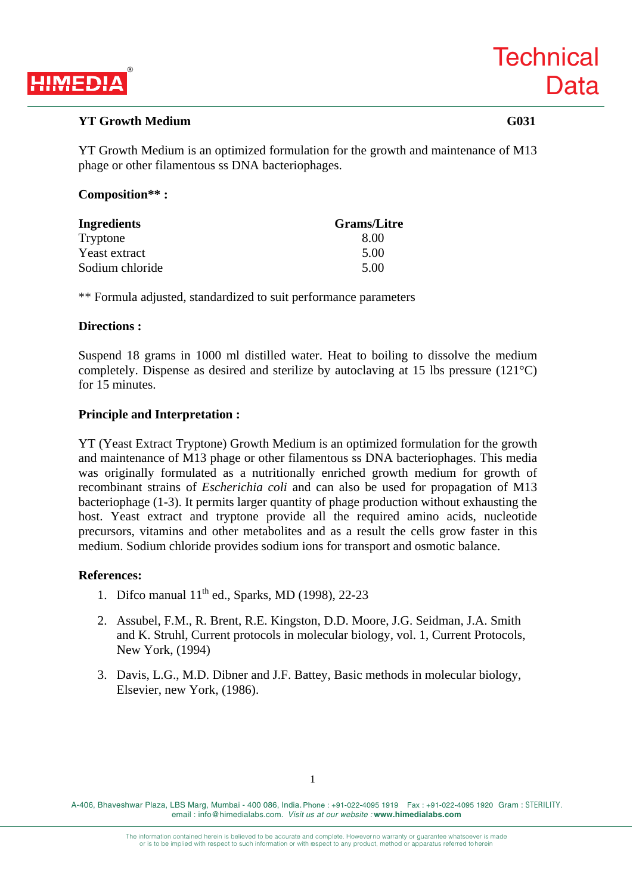

# **YT Growth Medium G031**

YT Growth Medium is an optimized formulation for the growth and maintenance of M13 phage or other filamentous ss DNA bacteriophages.

# **Composition\*\* :**

| <b>Ingredients</b> | <b>Grams/Litre</b> |
|--------------------|--------------------|
| Tryptone           | 8.00               |
| Yeast extract      | 5.00               |
| Sodium chloride    | 5.00               |

\*\* Formula adjusted, standardized to suit performance parameters

#### **Directions :**

Suspend 18 grams in 1000 ml distilled water. Heat to boiling to dissolve the medium completely. Dispense as desired and sterilize by autoclaving at 15 lbs pressure (121°C) for 15 minutes.

## **Principle and Interpretation :**

YT (Yeast Extract Tryptone) Growth Medium is an optimized formulation for the growth and maintenance of M13 phage or other filamentous ss DNA bacteriophages. This media was originally formulated as a nutritionally enriched growth medium for growth of recombinant strains of *Escherichia coli* and can also be used for propagation of M13 bacteriophage (1-3). It permits larger quantity of phage production without exhausting the host. Yeast extract and tryptone provide all the required amino acids, nucleotide precursors, vitamins and other metabolites and as a result the cells grow faster in this medium. Sodium chloride provides sodium ions for transport and osmotic balance.

## **References:**

- 1. Difco manual  $11<sup>th</sup>$  ed., Sparks, MD (1998), 22-23
- 2. Assubel, F.M., R. Brent, R.E. Kingston, D.D. Moore, J.G. Seidman, J.A. Smith and K. Struhl, Current protocols in molecular biology, vol. 1, Current Protocols, New York, (1994)
- 3. Davis, L.G., M.D. Dibner and J.F. Battey, Basic methods in molecular biology, Elsevier, new York, (1986).

A-406, Bhaveshwar Plaza, LBS Marg, Mumbai - 400 086, India. Phone : +91-022-4095 1919 Fax : +91-022-4095 1920 Gram : STERILITY. email : info@himedialabs.com. *Visit us at our website :* **www.himedialabs.com**

> The information contained herein is believed to be accurate and complete. However no warranty or guarantee whatsoever is made or is to be implied with respect to such information or with respect to any product, method or apparatus referred to herein